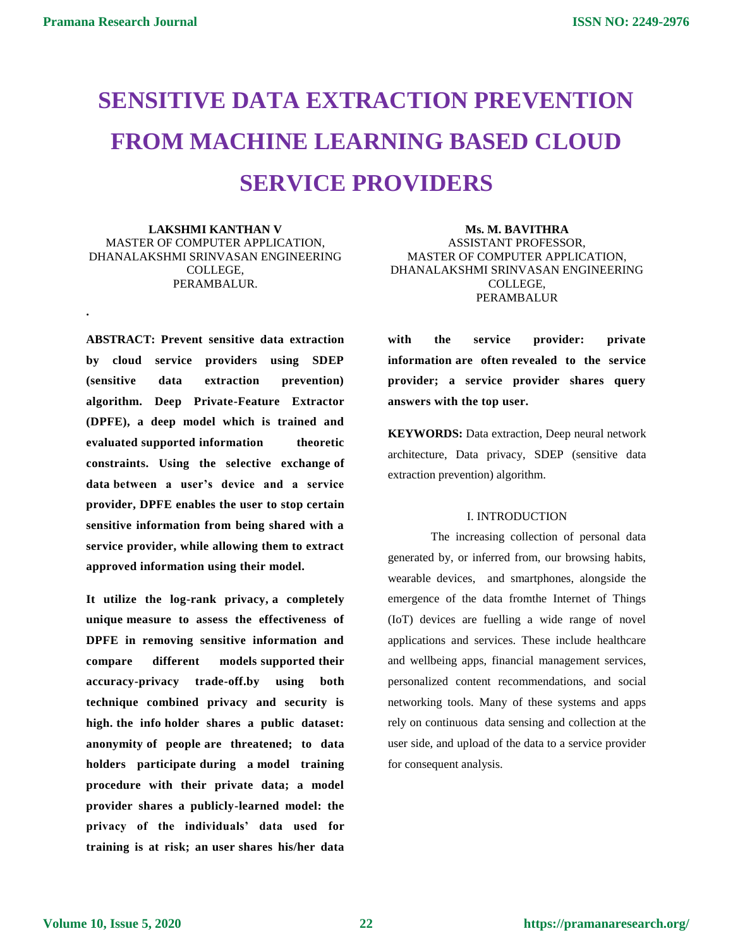**.**

# **SENSITIVE DATA EXTRACTION PREVENTION FROM MACHINE LEARNING BASED CLOUD SERVICE PROVIDERS**

**LAKSHMI KANTHAN V** MASTER OF COMPUTER APPLICATION, DHANALAKSHMI SRINVASAN ENGINEERING COLLEGE, PERAMBALUR.

**ABSTRACT: Prevent sensitive data extraction by cloud service providers using SDEP (sensitive data extraction prevention) algorithm. Deep Private-Feature Extractor (DPFE), a deep model which is trained and evaluated supported information theoretic constraints. Using the selective exchange of data between a user's device and a service provider, DPFE enables the user to stop certain sensitive information from being shared with a service provider, while allowing them to extract approved information using their model.**

**It utilize the log-rank privacy, a completely unique measure to assess the effectiveness of DPFE in removing sensitive information and compare different models supported their accuracy-privacy trade-off.by using both technique combined privacy and security is high. the info holder shares a public dataset: anonymity of people are threatened; to data holders participate during a model training procedure with their private data; a model provider shares a publicly-learned model: the privacy of the individuals' data used for training is at risk; an user shares his/her data** 

**Ms. M. BAVITHRA** ASSISTANT PROFESSOR, MASTER OF COMPUTER APPLICATION, DHANALAKSHMI SRINVASAN ENGINEERING COLLEGE, PERAMBALUR

**with the service provider: private information are often revealed to the service provider; a service provider shares query answers with the top user.**

**KEYWORDS:** Data extraction, Deep neural network architecture, Data privacy, SDEP (sensitive data extraction prevention) algorithm.

## I. INTRODUCTION

The increasing collection of personal data generated by, or inferred from, our browsing habits, wearable devices, and smartphones, alongside the emergence of the data fromthe Internet of Things (IoT) devices are fuelling a wide range of novel applications and services. These include healthcare and wellbeing apps, financial management services, personalized content recommendations, and social networking tools. Many of these systems and apps rely on continuous data sensing and collection at the user side, and upload of the data to a service provider for consequent analysis.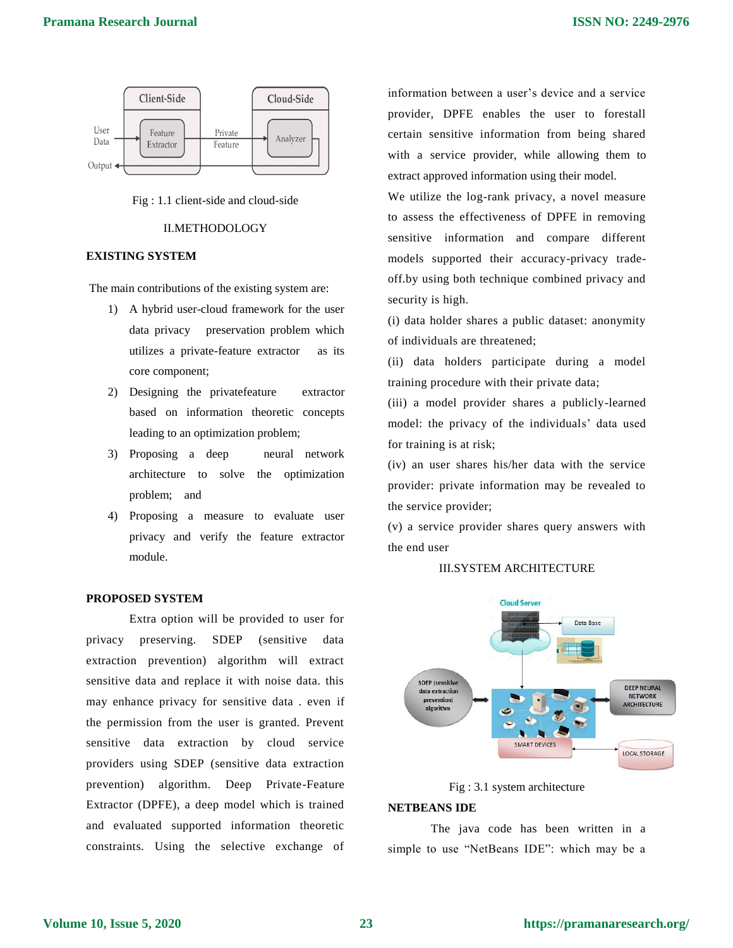



#### II.METHODOLOGY

# **EXISTING SYSTEM**

The main contributions of the existing system are:

- 1) A hybrid user-cloud framework for the user data privacy preservation problem which utilizes a private-feature extractor as its core component;
- 2) Designing the privatefeature extractor based on information theoretic concepts leading to an optimization problem;
- 3) Proposing a deep neural network architecture to solve the optimization problem; and
- 4) Proposing a measure to evaluate user privacy and verify the feature extractor module.

# **PROPOSED SYSTEM**

Extra option will be provided to user for privacy preserving. SDEP (sensitive data extraction prevention) algorithm will extract sensitive data and replace it with noise data. this may enhance privacy for sensitive data . even if the permission from the user is granted. Prevent sensitive data extraction by cloud service providers using SDEP (sensitive data extraction prevention) algorithm. Deep Private-Feature Extractor (DPFE), a deep model which is trained and evaluated supported information theoretic constraints. Using the selective exchange of information between a user's device and a service provider, DPFE enables the user to forestall certain sensitive information from being shared with a service provider, while allowing them to extract approved information using their model.

We utilize the log-rank privacy, a novel measure to assess the effectiveness of DPFE in removing sensitive information and compare different models supported their accuracy-privacy tradeoff.by using both technique combined privacy and security is high.

(i) data holder shares a public dataset: anonymity of individuals are threatened;

(ii) data holders participate during a model training procedure with their private data;

(iii) a model provider shares a publicly-learned model: the privacy of the individuals' data used for training is at risk;

(iv) an user shares his/her data with the service provider: private information may be revealed to the service provider;

(v) a service provider shares query answers with the end user

## III.SYSTEM ARCHITECTURE



Fig : 3.1 system architecture

## **NETBEANS IDE**

The java code has been written in a simple to use "NetBeans IDE": which may be a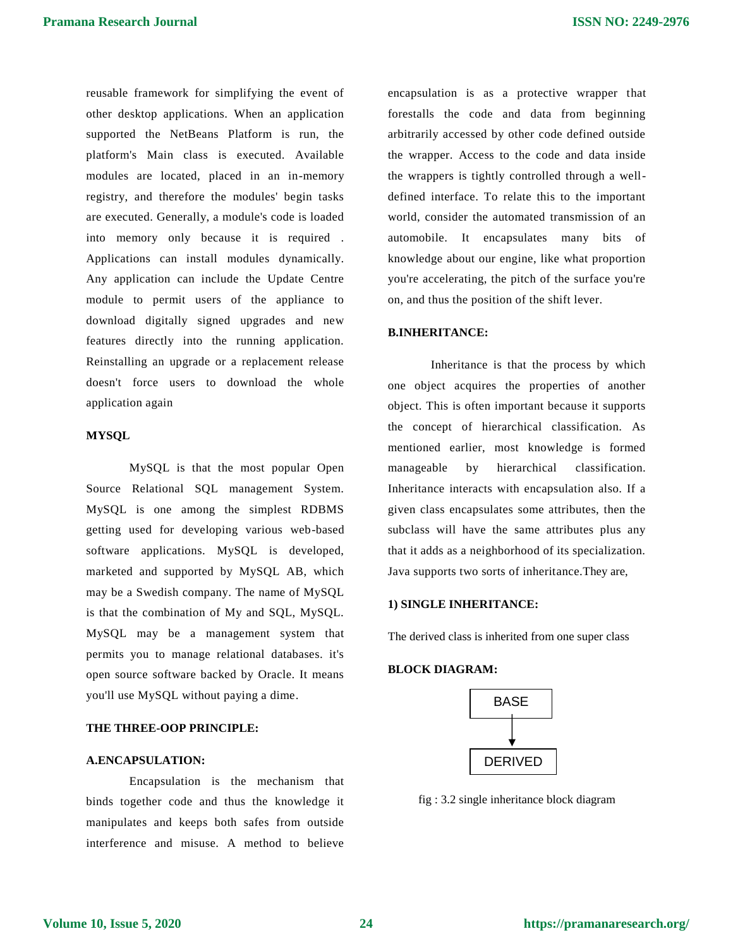reusable framework for simplifying the event of other desktop applications. When an application supported the NetBeans Platform is run, the platform's Main class is executed. Available modules are located, placed in an in-memory registry, and therefore the modules' begin tasks are executed. Generally, a module's code is loaded into memory only because it is required . Applications can install modules dynamically. Any application can include the Update Centre module to permit users of the appliance to download digitally signed upgrades and new features directly into the running application. Reinstalling an upgrade or a replacement release doesn't force users to download the whole application again

#### **MYSQL**

MySQL is that the most popular Open Source Relational SQL management System. MySQL is one among the simplest RDBMS getting used for developing various web-based software applications. MySQL is developed, marketed and supported by MySQL AB, which may be a Swedish company. The name of MySQL is that the combination of My and SQL, MySQL. MySQL may be a management system that permits you to manage relational databases. it's open source software backed by Oracle. It means you'll use MySQL without paying a dime.

## **THE THREE-OOP PRINCIPLE:**

#### **A.ENCAPSULATION:**

Encapsulation is the mechanism that binds together code and thus the knowledge it manipulates and keeps both safes from outside interference and misuse. A method to believe

encapsulation is as a protective wrapper that forestalls the code and data from beginning arbitrarily accessed by other code defined outside the wrapper. Access to the code and data inside the wrappers is tightly controlled through a welldefined interface. To relate this to the important world, consider the automated transmission of an automobile. It encapsulates many bits of knowledge about our engine, like what proportion you're accelerating, the pitch of the surface you're on, and thus the position of the shift lever.

## **B.INHERITANCE:**

Inheritance is that the process by which one object acquires the properties of another object. This is often important because it supports the concept of hierarchical classification. As mentioned earlier, most knowledge is formed manageable by hierarchical classification. Inheritance interacts with encapsulation also. If a given class encapsulates some attributes, then the subclass will have the same attributes plus any that it adds as a neighborhood of its specialization. Java supports two sorts of inheritance.They are,

## **1) SINGLE INHERITANCE:**

The derived class is inherited from one super class

#### **BLOCK DIAGRAM:**



fig : 3.2 single inheritance block diagram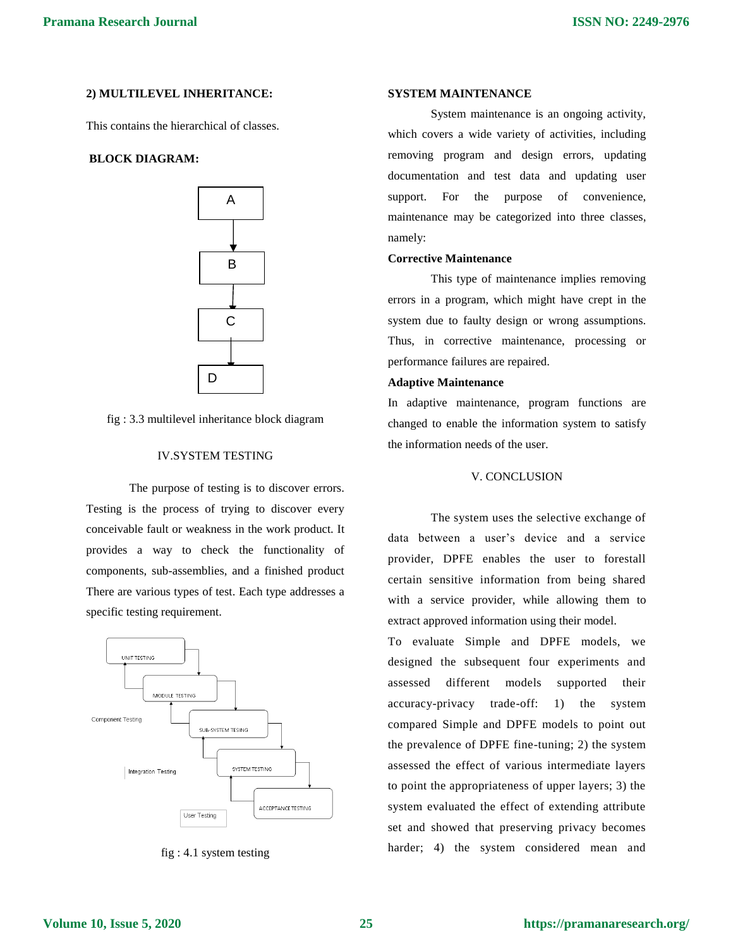# **2) MULTILEVEL INHERITANCE:**

This contains the hierarchical of classes.

# **BLOCK DIAGRAM:**





## IV.SYSTEM TESTING

The purpose of testing is to discover errors. Testing is the process of trying to discover every conceivable fault or weakness in the work product. It provides a way to check the functionality of components, sub-assemblies, and a finished product There are various types of test. Each type addresses a specific testing requirement.



fig : 4.1 system testing

#### **SYSTEM MAINTENANCE**

System maintenance is an ongoing activity, which covers a wide variety of activities, including removing program and design errors, updating documentation and test data and updating user support. For the purpose of convenience, maintenance may be categorized into three classes, namely:

#### **Corrective Maintenance**

This type of maintenance implies removing errors in a program, which might have crept in the system due to faulty design or wrong assumptions. Thus, in corrective maintenance, processing or performance failures are repaired.

#### **Adaptive Maintenance**

In adaptive maintenance, program functions are changed to enable the information system to satisfy the information needs of the user.

#### V. CONCLUSION

The system uses the selective exchange of data between a user's device and a service provider, DPFE enables the user to forestall certain sensitive information from being shared with a service provider, while allowing them to extract approved information using their model.

To evaluate Simple and DPFE models, we designed the subsequent four experiments and assessed different models supported their accuracy-privacy trade-off: 1) the system compared Simple and DPFE models to point out the prevalence of DPFE fine-tuning; 2) the system assessed the effect of various intermediate layers to point the appropriateness of upper layers; 3) the system evaluated the effect of extending attribute set and showed that preserving privacy becomes harder; 4) the system considered mean and